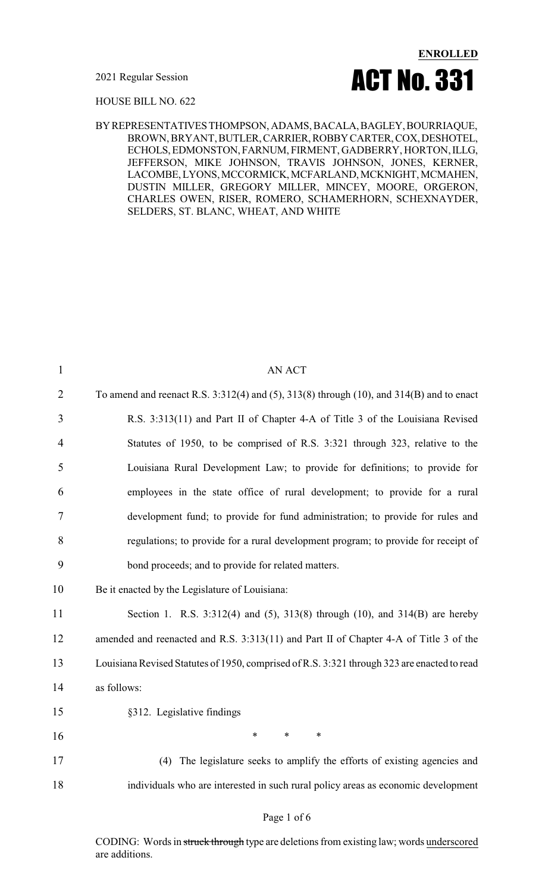2021 Regular Session



HOUSE BILL NO. 622

BYREPRESENTATIVESTHOMPSON, ADAMS, BACALA,BAGLEY,BOURRIAQUE, BROWN, BRYANT,BUTLER,CARRIER,ROBBYCARTER,COX,DESHOTEL, ECHOLS, EDMONSTON, FARNUM, FIRMENT, GADBERRY, HORTON, ILLG, JEFFERSON, MIKE JOHNSON, TRAVIS JOHNSON, JONES, KERNER, LACOMBE, LYONS, MCCORMICK, MCFARLAND, MCKNIGHT, MCMAHEN, DUSTIN MILLER, GREGORY MILLER, MINCEY, MOORE, ORGERON, CHARLES OWEN, RISER, ROMERO, SCHAMERHORN, SCHEXNAYDER, SELDERS, ST. BLANC, WHEAT, AND WHITE

| $\mathbf{1}$   | AN ACT                                                                                               |
|----------------|------------------------------------------------------------------------------------------------------|
| $\overline{2}$ | To amend and reenact R.S. $3:312(4)$ and $(5)$ , $313(8)$ through $(10)$ , and $314(B)$ and to enact |
| 3              | R.S. 3:313(11) and Part II of Chapter 4-A of Title 3 of the Louisiana Revised                        |
| $\overline{4}$ | Statutes of 1950, to be comprised of R.S. 3:321 through 323, relative to the                         |
| 5              | Louisiana Rural Development Law; to provide for definitions; to provide for                          |
| 6              | employees in the state office of rural development; to provide for a rural                           |
| 7              | development fund; to provide for fund administration; to provide for rules and                       |
| 8              | regulations; to provide for a rural development program; to provide for receipt of                   |
| 9              | bond proceeds; and to provide for related matters.                                                   |
| 10             | Be it enacted by the Legislature of Louisiana:                                                       |
| 11             | Section 1. R.S. 3:312(4) and (5), 313(8) through (10), and 314(B) are hereby                         |
| 12             | amended and reenacted and R.S. 3:313(11) and Part II of Chapter 4-A of Title 3 of the                |
| 13             | Louisiana Revised Statutes of 1950, comprised of R.S. 3:321 through 323 are enacted to read          |
| 14             | as follows:                                                                                          |
| 15             | §312. Legislative findings                                                                           |
| 16             | $\ast$<br>$\ast$<br>$\ast$                                                                           |
| 17             | (4) The legislature seeks to amplify the efforts of existing agencies and                            |
| 18             | individuals who are interested in such rural policy areas as economic development                    |

CODING: Words in struck through type are deletions from existing law; words underscored are additions.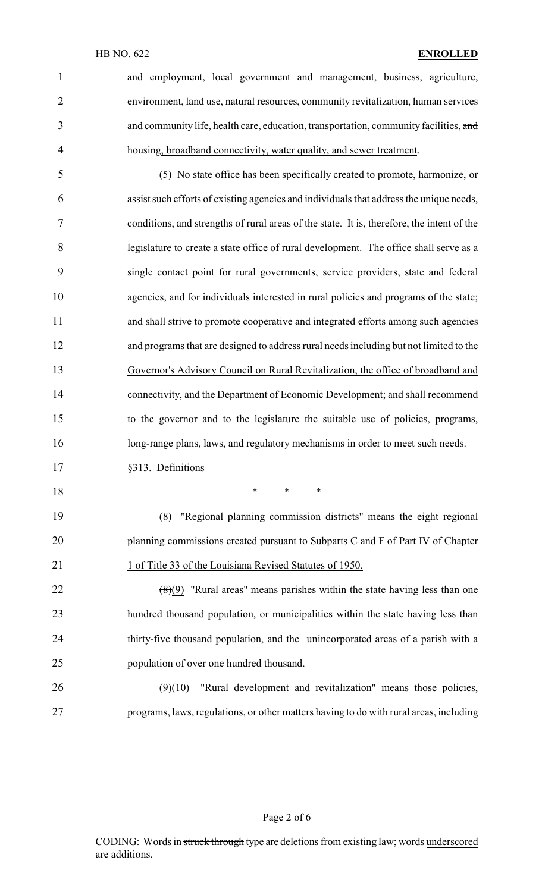and employment, local government and management, business, agriculture, environment, land use, natural resources, community revitalization, human services 3 and community life, health care, education, transportation, community facilities, and housing, broadband connectivity, water quality, and sewer treatment.

 (5) No state office has been specifically created to promote, harmonize, or assist such efforts of existing agencies and individuals that address the unique needs, conditions, and strengths of rural areas of the state. It is, therefore, the intent of the legislature to create a state office of rural development. The office shall serve as a single contact point for rural governments, service providers, state and federal agencies, and for individuals interested in rural policies and programs of the state; and shall strive to promote cooperative and integrated efforts among such agencies and programs that are designed to address rural needs including but not limited to the Governor's Advisory Council on Rural Revitalization, the office of broadband and connectivity, and the Department of Economic Development; and shall recommend to the governor and to the legislature the suitable use of policies, programs, long-range plans, laws, and regulatory mechanisms in order to meet such needs.

§313. Definitions

\* \* \*

 (8) "Regional planning commission districts" means the eight regional 20 planning commissions created pursuant to Subparts C and F of Part IV of Chapter 21 1 of Title 33 of the Louisiana Revised Statutes of 1950.

 $(8)(9)$  "Rural areas" means parishes within the state having less than one hundred thousand population, or municipalities within the state having less than thirty-five thousand population, and the unincorporated areas of a parish with a population of over one hundred thousand.

 $26 \left( \frac{9}{10} \right)$  "Rural development and revitalization" means those policies, programs, laws, regulations, or other matters having to do with rural areas, including

### Page 2 of 6

CODING: Words in struck through type are deletions from existing law; words underscored are additions.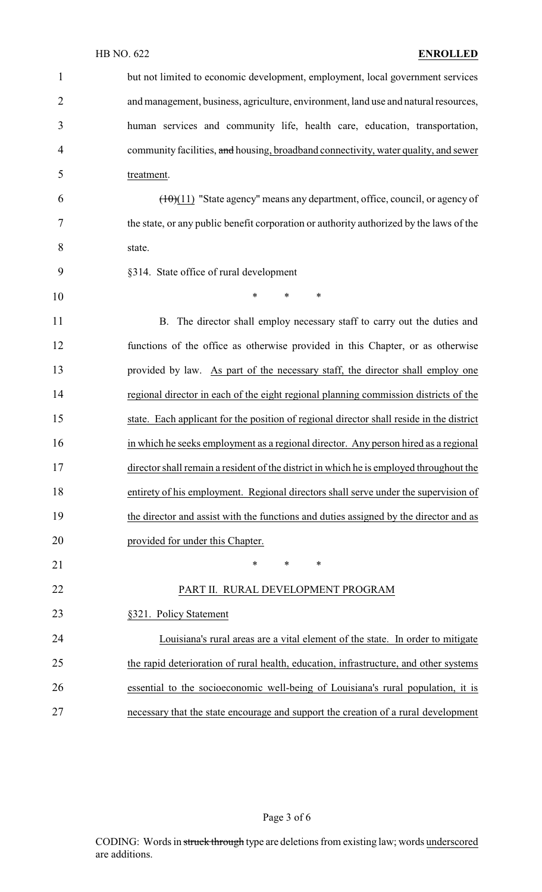| $\mathbf{1}$   | but not limited to economic development, employment, local government services           |
|----------------|------------------------------------------------------------------------------------------|
| $\overline{2}$ | and management, business, agriculture, environment, land use and natural resources,      |
| 3              | human services and community life, health care, education, transportation,               |
| 4              | community facilities, and housing, broadband connectivity, water quality, and sewer      |
| 5              | treatment.                                                                               |
| 6              | $(\pm 0)(11)$ "State agency" means any department, office, council, or agency of         |
| 7              | the state, or any public benefit corporation or authority authorized by the laws of the  |
| 8              | state.                                                                                   |
| 9              | §314. State office of rural development                                                  |
| 10             | *<br>$\ast$<br>∗                                                                         |
| 11             | B. The director shall employ necessary staff to carry out the duties and                 |
| 12             | functions of the office as otherwise provided in this Chapter, or as otherwise           |
| 13             | provided by law. As part of the necessary staff, the director shall employ one           |
| 14             | regional director in each of the eight regional planning commission districts of the     |
| 15             | state. Each applicant for the position of regional director shall reside in the district |
| 16             | in which he seeks employment as a regional director. Any person hired as a regional      |
| 17             | director shall remain a resident of the district in which he is employed throughout the  |
| 18             | entirety of his employment. Regional directors shall serve under the supervision of      |
| 19             | the director and assist with the functions and duties assigned by the director and as    |
| 20             | provided for under this Chapter.                                                         |
| 21             | *<br>$\ast$<br>∗                                                                         |
| 22             | PART II. RURAL DEVELOPMENT PROGRAM                                                       |
| 23             | §321. Policy Statement                                                                   |
| 24             | Louisiana's rural areas are a vital element of the state. In order to mitigate           |
| 25             | the rapid deterioration of rural health, education, infrastructure, and other systems    |
| 26             | essential to the socioeconomic well-being of Louisiana's rural population, it is         |
| 27             | necessary that the state encourage and support the creation of a rural development       |

Page 3 of 6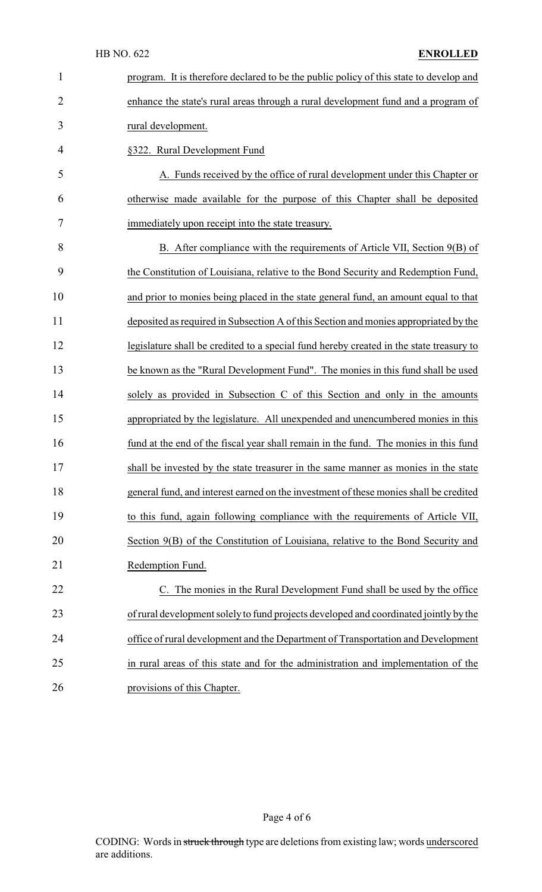| $\mathbf{1}$   | program. It is therefore declared to be the public policy of this state to develop and  |
|----------------|-----------------------------------------------------------------------------------------|
| $\overline{2}$ | enhance the state's rural areas through a rural development fund and a program of       |
| 3              | rural development.                                                                      |
| 4              | §322. Rural Development Fund                                                            |
| 5              | A. Funds received by the office of rural development under this Chapter or              |
| 6              | otherwise made available for the purpose of this Chapter shall be deposited             |
| 7              | immediately upon receipt into the state treasury.                                       |
| 8              | B. After compliance with the requirements of Article VII, Section 9(B) of               |
| 9              | the Constitution of Louisiana, relative to the Bond Security and Redemption Fund,       |
| 10             | and prior to monies being placed in the state general fund, an amount equal to that     |
| 11             | deposited as required in Subsection A of this Section and monies appropriated by the    |
| 12             | legislature shall be credited to a special fund hereby created in the state treasury to |
| 13             | be known as the "Rural Development Fund". The monies in this fund shall be used         |
| 14             | solely as provided in Subsection C of this Section and only in the amounts              |
| 15             | appropriated by the legislature. All unexpended and unencumbered monies in this         |
| 16             | fund at the end of the fiscal year shall remain in the fund. The monies in this fund    |
| 17             | shall be invested by the state treasurer in the same manner as monies in the state      |
| 18             | general fund, and interest earned on the investment of these monies shall be credited   |
| 19             | to this fund, again following compliance with the requirements of Article VII,          |
| 20             | Section 9(B) of the Constitution of Louisiana, relative to the Bond Security and        |
| 21             | Redemption Fund.                                                                        |
| 22             | C. The monies in the Rural Development Fund shall be used by the office                 |
| 23             | of rural development solely to fund projects developed and coordinated jointly by the   |
| 24             | office of rural development and the Department of Transportation and Development        |
| 25             | in rural areas of this state and for the administration and implementation of the       |
| 26             | provisions of this Chapter.                                                             |

Page 4 of 6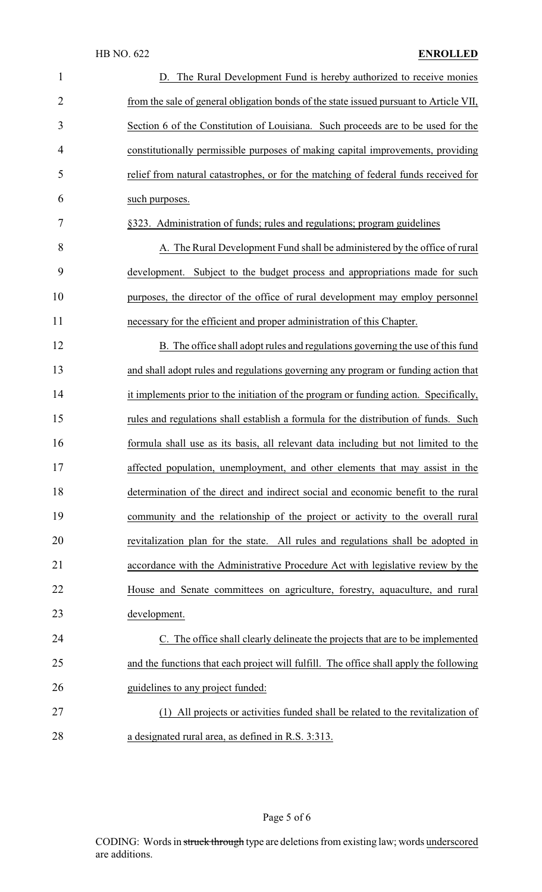| $\mathbf{1}$   | D. The Rural Development Fund is hereby authorized to receive monies                   |
|----------------|----------------------------------------------------------------------------------------|
| $\overline{2}$ | from the sale of general obligation bonds of the state issued pursuant to Article VII, |
| 3              | Section 6 of the Constitution of Louisiana. Such proceeds are to be used for the       |
| 4              | constitutionally permissible purposes of making capital improvements, providing        |
| 5              | relief from natural catastrophes, or for the matching of federal funds received for    |
| 6              | such purposes.                                                                         |
| 7              | §323. Administration of funds; rules and regulations; program guidelines               |
| 8              | A. The Rural Development Fund shall be administered by the office of rural             |
| 9              | Subject to the budget process and appropriations made for such<br>development.         |
| 10             | purposes, the director of the office of rural development may employ personnel         |
| 11             | necessary for the efficient and proper administration of this Chapter.                 |
| 12             | B. The office shall adopt rules and regulations governing the use of this fund         |
| 13             | and shall adopt rules and regulations governing any program or funding action that     |
| 14             | it implements prior to the initiation of the program or funding action. Specifically,  |
| 15             | rules and regulations shall establish a formula for the distribution of funds. Such    |
| 16             | formula shall use as its basis, all relevant data including but not limited to the     |
| 17             | affected population, unemployment, and other elements that may assist in the           |
| 18             | determination of the direct and indirect social and economic benefit to the rural      |
| 19             | community and the relationship of the project or activity to the overall rural         |
| 20             | revitalization plan for the state. All rules and regulations shall be adopted in       |
| 21             | accordance with the Administrative Procedure Act with legislative review by the        |
| 22             | House and Senate committees on agriculture, forestry, aquaculture, and rural           |
| 23             | development.                                                                           |
| 24             | C. The office shall clearly delineate the projects that are to be implemented          |
| 25             | and the functions that each project will fulfill. The office shall apply the following |
| 26             | guidelines to any project funded:                                                      |
| 27             | (1) All projects or activities funded shall be related to the revitalization of        |
| 28             | a designated rural area, as defined in R.S. 3:313.                                     |